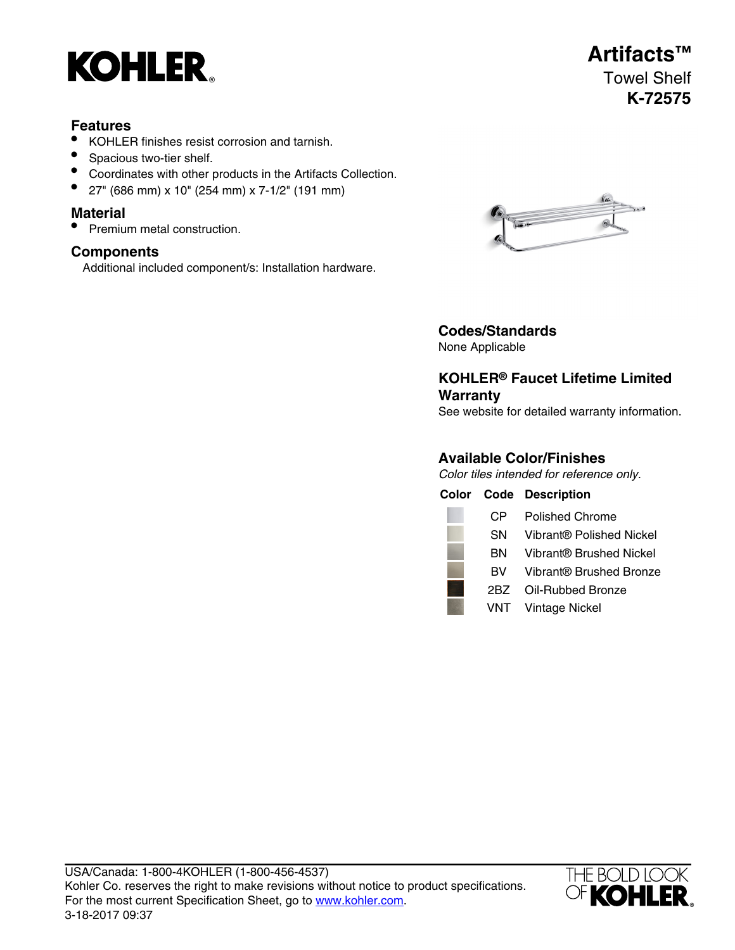

### **Features**

- KOHLER finishes resist corrosion and tarnish.
- Spacious two-tier shelf.
- Coordinates with other products in the Artifacts Collection.
- 27" (686 mm) x 10" (254 mm) x 7-1/2" (191 mm)

#### **Material**

• Premium metal construction.

### **Components**

Additional included component/s: Installation hardware.



# **Codes/Standards**

None Applicable

## **KOHLER® Faucet Lifetime Limited Warranty**

See website for detailed warranty information.

## **Available Color/Finishes**

Color tiles intended for reference only.

|     | <b>Color Code Description</b> |
|-----|-------------------------------|
| CP. | <b>Polished Chrome</b>        |
| SN. | Vibrant® Polished Nickel      |
| BN. | Vibrant® Brushed Nickel       |
| BV. | Vibrant® Brushed Bronze       |
| 2BZ | Oil-Rubbed Bronze             |
|     | <b>VNT</b> Vintage Nickel     |



# **Artifacts™** Towel Shelf **K-72575**